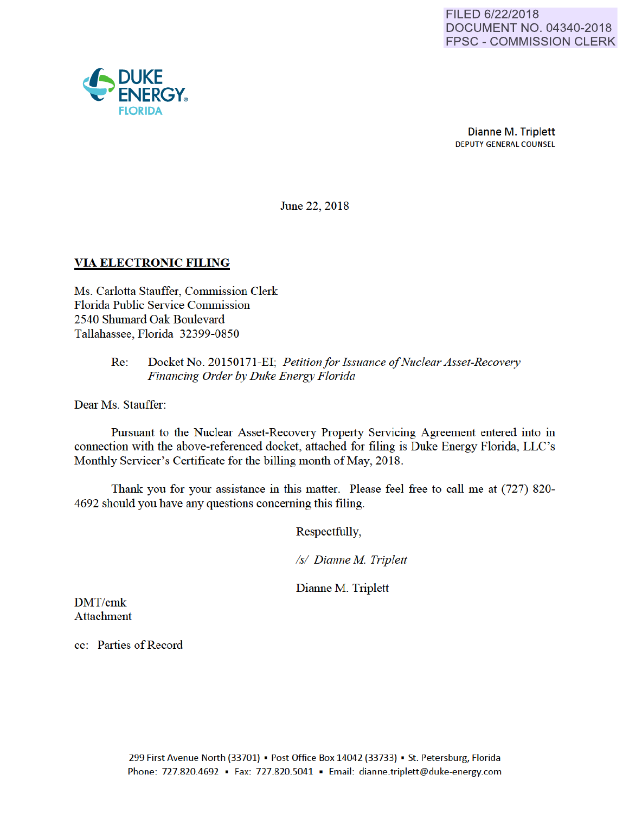

Dianne M. Triplett DEPUTY GENERAL COUNSEL

June 22, 2018

# VIA ELECTRONIC FILING

Ms. Carlotta Stauffer, Commission Clerk Florida Public Service Commission 2540 Shumard Oak Boulevard Tallahassee, Florida 32399-0850

## Re: Docket No. 20150171-EI; *Petitionfor Issuance of Nuclear Asset-Recovery Financing Order by Duke Energy Florida*

Dear Ms. Stauffer:

Pursuant to the Nuclear Asset-Recovery Property Servicing Agreement entered into in connection with the above-referenced docket, attached for filing is Duke Energy Florida, LLC's Monthly Servicer's Certificate for the billing month of May, 2018.

Thank you for your assistance in this matter. Please feel free to call me at (727) 820- 4692 should you have any questions conceming this filing.

Respectfully,

*Is/ Dianne M Triplett* 

Dianne M. Triplett

DMT/cmk Attachment

cc: Parties of Record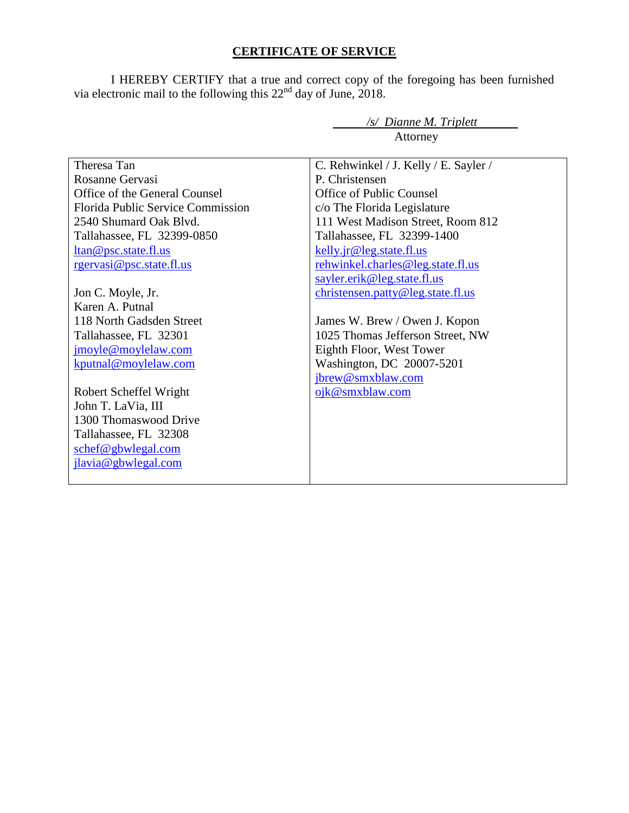# **CERTIFICATE OF SERVICE**

I HEREBY CERTIFY that a true and correct copy of the foregoing has been furnished via electronic mail to the following this  $22<sup>nd</sup>$  day of June, 2018.

*/s/ Dianne M. Triplett* 

| Attorney                          |                                       |
|-----------------------------------|---------------------------------------|
| Theresa Tan                       | C. Rehwinkel / J. Kelly / E. Sayler / |
| Rosanne Gervasi                   | P. Christensen                        |
| Office of the General Counsel     | Office of Public Counsel              |
| Florida Public Service Commission | c/o The Florida Legislature           |
| 2540 Shumard Oak Blvd.            | 111 West Madison Street, Room 812     |
| Tallahassee, FL 32399-0850        | Tallahassee, FL 32399-1400            |
| <u>ltan@psc.state.fl.us</u>       | kelly.jr@leg.state.fl.us              |
| rgervasi@psc.state.fl.us          | rehwinkel.charles@leg.state.fl.us     |
|                                   | sayler.erik@leg.state.fl.us           |
| Jon C. Moyle, Jr.                 | christensen.patty@leg.state.fl.us     |
| Karen A. Putnal                   |                                       |
| 118 North Gadsden Street          | James W. Brew / Owen J. Kopon         |
| Tallahassee, FL 32301             | 1025 Thomas Jefferson Street, NW      |
| jmoyle@moylelaw.com               | Eighth Floor, West Tower              |
| kputnal@moylelaw.com              | Washington, DC 20007-5201             |
|                                   | jbrew@smxblaw.com                     |
| Robert Scheffel Wright            | ojk@smxblaw.com                       |
| John T. LaVia, III                |                                       |
| 1300 Thomaswood Drive             |                                       |
| Tallahassee, FL 32308             |                                       |
| schef@gbwlegal.com                |                                       |
| jlavia@gbwlegal.com               |                                       |
|                                   |                                       |
|                                   |                                       |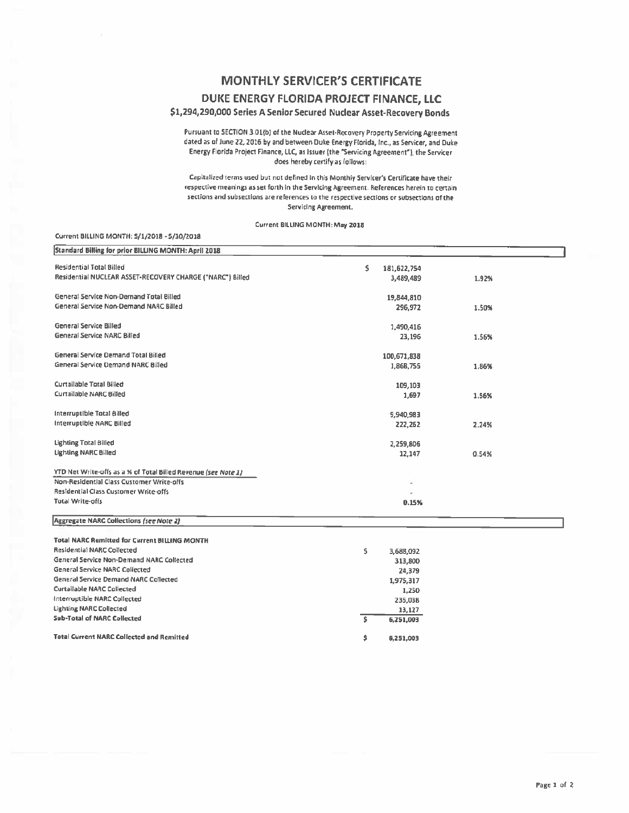# **MONTHLY SERVICER'S CERTIFICATE**

### DUKE ENERGY FLORIDA PROJECT FINANCE, LLC

### \$1,294,290,000 Series A Senior Secured Nuclear Asset-Recovery Bonds

Pursuant to SECTION 3.01(b) of the Nuclear Asset-Recovery Property Servicing Agreement dated as of June 22, 2016 by and between Duke Energy Florida, Inc., as Servicer, and Duke Energy Florida Project Finance, LLC, as Issuer (the "Servicing Agreement"), the Servicer does hereby certify as follows:

Capitalized terms used but not defined in this Monthly Servicer's Certificate have their respective meanings as set forth in the Servicing Agreement. References herein to certain sections and subsections are references to the respective sections or subsections of the Servicing Agreement.

#### Current BILLING MONTH: May 2018

#### Current BILLING MONTH: 5/1/2018 - 5/30/2018

| Standard Billing for prior BILLING MONTH: April 2018           |                   |       |
|----------------------------------------------------------------|-------------------|-------|
| <b>Residential Total Billed</b>                                | \$<br>181,622,754 |       |
| Residential NUCLEAR ASSET-RECOVERY CHARGE ("NARC") Billed      | 3,489,489         | 1.92% |
| General Service Non-Demand Total Billed                        | 19,844,810        |       |
| General Service Non-Demand NARC Billed                         | 296,972           | 1.50% |
| <b>General Service Billed</b>                                  | 1,490,416         |       |
| General Service NARC Billed                                    | 23,196            | 1.56% |
| <b>General Service Demand Total Billed</b>                     | 100,671,838       |       |
| General Service Demand NARC Billed                             | 1,868,755         | 1.86% |
| Curtailable Total Billed                                       | 109,103           |       |
| Curtailable NARC Billed                                        | 1,697             | 1.56% |
| Interruptible Total Billed                                     | 9,940,983         |       |
| Interruptible NARC Billed                                      | 222,262           | 2.24% |
| Lighting Total Billed                                          | 2,259,806         |       |
| <b>Lighting NARC Billed</b>                                    | 12,147            | 0.54% |
| YTD Net Write-offs as a % of Total Billed Revenue (see Note 1) |                   |       |
| Non-Residential Class Customer Write-offs                      |                   |       |
| Residential Class Customer Write-offs                          |                   |       |
| <b>Total Write-offs</b>                                        | 0.15%             |       |
| Aggregate NARC Collections (see Note 2)                        |                   |       |
| <b>Total NARC Remitted for Current BILLING MONTH</b>           |                   |       |
| <b>Residential NARC Collected</b>                              | \$<br>3,688,092   |       |
| General Service Non-Demand NARC Collected                      | 313,800           |       |
| <b>General Service NARC Collected</b>                          | 24,379            |       |
| <b>General Service Demand NARC Collected</b>                   | 1,975,317         |       |
| <b>Curtailable NARC Collected</b>                              | 1,250             |       |
| Interruptible NARC Collected                                   | 235,038           |       |
| <b>Lighting NARC Collected</b>                                 | 13,127            |       |
| <b>Sub-Total of NARC Collected</b>                             | Ŝ.<br>6,251,003   |       |
| <b>Total Current NARC Collected and Remitted</b>               | \$<br>6,251,003   |       |